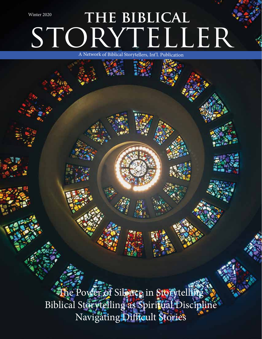# STORYTELLER THE BIBLICAL A Network of Biblical Storytellers, Int'l. Publication Winter 2020

The Power of Silence in Storytelling Biblical Storytelling as Spiritual Discipline Navigating Difficult Stories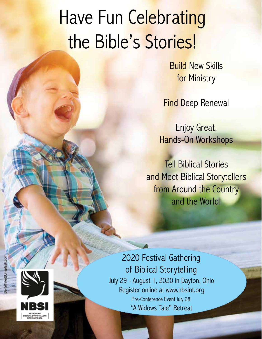# Have Fun Celebrating the Bible's Stories!

Build New Skills for Ministry

**Find Deep Renewal** 

Enjoy Great, Hands-On Workshops

Tell Biblical Stories and Meet Biblical Storytellers from Around the Country and the World!

2020 Festival Gathering of Biblical Storytelling July 29 - August 1, 2020 in Dayton, Ohio Register online at www.nbsint.org Pre-Conference Event July 28: "A Widows Tale" Retreat

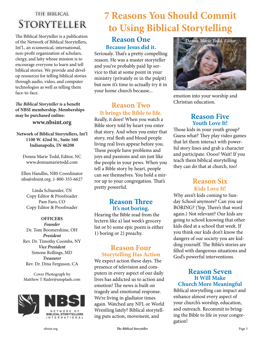### THE BIBLICAL STORYTELLER

The Biblical Storyteller is a publication of the Network of Biblical Storytellers, Int'l., an ecumenical, international, non-profit organization of scholars, clergy, and laity whose mission is to encourage everyone to learn and tell biblical stories. We provide and develop resources for telling biblical stories through audio, video, and computer technologies as well as telling them face-to-face.

*The Biblical Storyteller* **is a benefit of NBSI membership. Memberships may be purchased online:** 

#### **www.nbsint.org**

**Network of Biblical Storytellers, Int'l 1100 W. 42nd St., Suite 160 Indianapolis, IN 46208**

Donna Marie Todd, Editor, NC www.donnamarietodd.com

Ellen Handlin, NBS Coordinator nbs@nbsint.org .1-800-355-6627

Linda Schuessler, TN Copy Editor & Proofreader Pam Faro, CO Copy Editor & Proofreader

#### **OFFICERS**

*Founder* Dr. Tom Boomershine, OH *President* Rev. Dr. Timothy Coombs, NY *Vice President* Simone Rollings, MD *Treasurer* Rev. Dr. Dina Ferguson, CA

Cover Photograph by Matthew T Rader@unsplash.com



### but now it's time to actually try it in your home church because...

### **Reason Two It brings the Bible to life.**

**Reason One Because Jesus did it.**  Seriously. That's a pretty compelling reason. He was a master storyteller and you've probably paid lip service to that at some point in your ministry (privately or in the pulpit)

Really, it does! When you watch a Bible story told by heart you enter that story. And when you enter that story, real flesh and blood people living real lives appear before you. These people have problems and joys and passions and sin just like the people in your pews. When you tell a Bible story by heart, people can see themselves. You hold a mirror up to your congregation. That's pretty powerful.

### **Reason Three It's not boring.**

Hearing the Bible read from the lectern like a) last week's grocery list or b) some epic poem is either 1) boring or 2) preachy.

### **Reason Four Storytelling Has Action**

We expect action these days. The presence of television and computers in every aspect of our daily lives has addicted us to action and emotion! The news is built on tragedy and emotional response. We're living in gladiator times again. Watched any NFL or World Wrestling lately? Biblical storytelling puts action, movement, and



**7 Reasons You Should Commit** 

**to Using Biblical Storytelling**

emotion into your worship and Christian education.

### **Reason Five Youth Love It!**

Those kids in your youth group? Guess what? They play video games that let them interact with powerful story lines and grab a character and participate. Oooo! Wait! If you teach them biblical storytelling they can do that at church, too!

### **Reason Six Kids Love It!**

Why aren't kids coming to Sunday School anymore? Can you say BORING? (Yep. There's that word again.) Not relevant? Our kids are going to school knowing that other kids died at a school that week. If you think our kids don't know the dangers of our society you are kidding yourself. The Bible's stories are filled with dangerous situations and God's powerful interventions.

#### **Reason Seven It Will Make Church More Meaningful**

Biblical storytelling can impact and enhance almost every aspect of your church's worship, education, and outreach. Recommit to bringing the Bible to life in your congregation!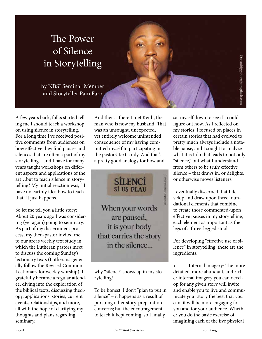# The Power of Silence in Storytelling

by NBSI Seminar Member and Storyteller Pam Faro

A few years back, folks started telling me I should teach a workshop on using silence in storytelling. For a long time I've received positive comments from audiences on how effective they find pauses and silences that are often a part of my storytelling…and I have for many years taught workshops on different aspects and applications of the art…but to teach silence in storytelling? My initial reaction was, "'I have no earthly idea how to teach that! It just happens."

So let me tell you a little story: About 20 years ago I was considering (yet again) going to seminary. As part of my discernment process, my then-pastor invited me to our area's weekly text study in which the Lutheran pastors meet to discuss the coming Sunday's lectionary texts (Lutherans generally follow the Revised Common Lectionary for weekly worship). I gratefully became a regular attendee, diving into the exploration of the biblical texts, discussing theology, applications, stories, current events, relationships, and more, all with the hope of clarifying my thoughts and plans regarding seminary.

And then…there I met Keith, the man who is now my husband! That was an unsought, unexpected, yet entirely welcome unintended consequence of my having committed myself to participating in the pastors' text study. And that's a pretty good analogy for how and

> **SİLENCİ** Sİ US PLAU

When your words are paused, it is your body that carries the story in the silence...

why "silence" shows up in my storytelling!

To be honest, I don't "plan to put in silence" – it happens as a result of pursuing other story-preparation concerns; but the encouragement to teach it kept coming, so I finally

sat myself down to see if I could figure out how. As I reflected on my stories, I focused on places in certain stories that had evolved to pretty much always include a notable pause, and I sought to analyze what it is I do that leads to not only "silence," but what I understand from others to be truly effective silence – that draws in, or delights, or otherwise moves listeners.

Occanbiggshort@unsplash.com

I eventually discerned that I develop and draw upon three foundational elements that combine to create those commented-upon effective pauses in my storytelling, each element as important as the legs of a three-legged stool.

For developing "effective use of silence" in storytelling, these are the ingredients:

• Internal imagery: The more detailed, more abundant, and richer internal imagery you can develop for any given story will invite and enable you to live and communicate your story the best that you can; it will be more engaging for you and for your audience. Whether you do the basic exercise of imagining each of the five physical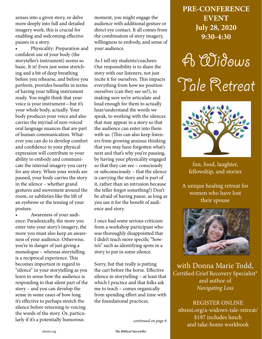senses into a given story, or delve more deeply into full and detailed imagery work, this is crucial for enabling and welcoming effective pauses in a story.

• Physicality: Preparation and confident use of your body (the storyteller's instrument) seems so basic. It is! Even just some stretching and a bit of deep breathing before you rehearse, and before you perform, provides benefits in terms of having your telling instrument ready. You might think that your voice is your instrument—but it's your whole body, actually. Your body produces your voice and also carries the myriad of non-voiced oral language nuances that are part of human communication. Whatever you can do to develop comfort and confidence in your physical expression will contribute to your ability to embody and communicate the internal imagery you carry for any story. When your words are paused, your body carries the story in the silence – whether grand gestures and movement around the room, or subtleties like the lift of an eyebrow or the tensing of your posture.

• Awareness of your audience: Paradoxically, the more you enter into your story's imagery, the more you must also keep an awareness of your audience. Otherwise, you're in danger of just giving a monologue – whereas storytelling is a reciprocal experience. This becomes important in regard to "silence" in your storytelling as you learn to sense how the audience is responding to that silent part of the story – and you can develop the sense in some cases of how long it's effective to perhaps stretch the silence before returning to voicing the words of the story. Or, particularly if it's a potentially humorous

moment, you might engage the audience with additional gesture or direct eye contact. It all comes from the combination of story imagery, willingness to embody, and sense of your audience.

As I tell my students/coachees: Our responsibility is to share the story with our listeners, not just recite it for ourselves. This impacts everything from how we position ourselves (can they see us?), to making sure we're articulate and loud enough for them to actually hear/understand the words we speak, to working with the silences that may appear in a story so that the audience can enter into them with us. (This can also keep listeners from growing anxious thinking that you may have forgotten what's next and that's why you're pausing, by having your physicality engaged so that they can see – consciously or subconsciously – that the silence is carrying the story and is part of it, rather than an intrusion because the teller forgot something!) Don't be afraid of having pause, as long as you use it for the benefit of audience and story.

I once had some serious criticism from a workshop participant who was thoroughly disappointed that I didn't teach more specific "howto's" such as identifying spots in a story to put in some silence.

Sorry, but that really is putting the cart before the horse. Effective silence in storytelling – at least that which I practice and that folks ask me to teach – comes organically from spending effort and time with the foundational practices.

**PRE-CONFERENCE EVENT July 28, 2020 9:30-4:30**

# A Widows Tale Retreat



fun, food, laughter, fellowship, and stories

A unique healing retreat for women who have lost their spouse



with Donna Marie Todd, Certified Grief Recovery Specialist® and author of *Navigating Loss*

REGISTER ONLINE nbsint.org/a-widows-tale-retreat/ \$197 includes lunch and take-home workbook *continued on page 6*

nbsint.org **The Biblical Storyteller**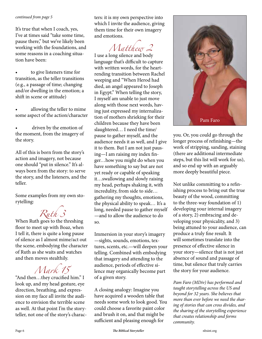#### *continued from page 5*

It's true that when I coach, yes, I've at times said "take some time, pause there," but we've likely been working with the foundations, and some reasons in a coaching situation have been:

to give listeners time for transition, as the teller transitions (e.g., a passage of time; changing and/or dwelling in the emotion; a shift in scene or attitude)

allowing the teller to mime some aspect of the action/character

driven by the emotion of the moment, from the imagery of the story.

All of this is born from the story's action and imagery, not because one should "put in silence." It's always born from the story: to serve the story, and the listeners, and the teller.

Some examples from my own storytelling:

# *Ruth 3*

When Ruth goes to the threshing floor to meet up with Boaz, when I tell it, there is quite a long pause of silence as I almost mime/act out the scene, embodying the character of Ruth as she waits and watches and then moves stealthily.

# *Mark 15*

"And then…they crucified him." I look up, and my head gesture, eye direction, breathing, and expression on my face all invite the audience to envision the terrible scene as well. At that point I'm the storyteller, not one of the story's characters: it is my own perspective into which I invite the audience, giving them time for their own imagery and emotions.

*Matthew 2* 

I use a long silence and body language that's difficult to capture with written words, for the heartrending transition between Rachel weeping and "When Herod had died, an angel appeared to Joseph in Egypt." When telling the story, I myself am unable to just move along with those next words, having just expressed my internalization of mothers shrieking for their children because they have been slaughtered… I need the time/ pause to gather myself, and the audience needs it as well, and I give it to them. But I am not just pausing—I am raising my index finger…how you might do when you have something to say but are not yet ready or capable of speaking it…swallowing and slowly raising my head, perhaps shaking it, with incredulity, from side to side… gathering my thoughts, emotions, the physical ability to speak… It's a long, needed pause to gather myself —and to allow the audience to do so.

Immersion in your story's imagery —sights, sounds, emotions, textures, scents, etc.—will deepen your telling. Combined with embodying that imagery and attending to the audience, periods of effective silence may organically become part of a given story.

A closing analogy: Imagine you have acquired a wooden table that needs some work to look good. You could choose a favorite paint color and brush it on, and that might be sufficient and pleasing enough for



you. Or, you could go through the longer process of refinishing—the work of stripping, sanding, staining (there are additional intermediate steps, but this list will work for us), and so end up with an arguably more deeply beautiful piece.

Not unlike committing to a refinishing process to bring out the true beauty of the wood, committing to the three-way foundation of 1) developing your internal imagery of a story, 2) embracing and developing your physicality, and 3) being attuned to your audience, can produce a truly fine result. It will sometimes translate into the presence of effective silence in your story—silence that is not just absence of sound and passage of time, but silence that truly carries the story for your audience.

*Pam Faro (MDiv) has performed and taught storytelling across the US and beyond for 32 years. She believes that more than ever before we need the sharing of stories that can cross divides, and the sharing of the storytelling experience that creates relationship and forms community.*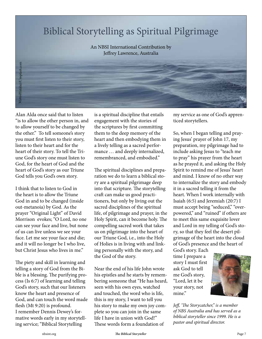### Biblical Storytelling as Spiritual Pilgrimage

An NBSI International Contribution by Jeffrey Lawrence, Australia

Alan Alda once said that to listen "is to allow the other person in, and to allow yourself to be changed by the other." To tell someone's story you must first listen to their story, listen to their heart and for the heart of their story. To tell the Triune God's story one must listen to God, for the heart of God and the heart of God's story as our Triune God tells you God's own story.

I think that to listen to God in the heart is to allow the Triune God in and to be changed (inside out-metanoia) by God. As the prayer "Original Light" of David Morrison evokes; "O Lord, no one can see your face and live, but none of us can live unless we see your face. Let me see your face and die; and it will no longer be I who live, but Christ Jesus who lives in me."

The piety and skill in learning and telling a story of God from the Bible is a blessing. The purifying process (Is 6:7) of learning and telling God's story, such that our listeners know the heart and presence of God, and can touch the word made flesh (Mt 9:20) is profound. I remember Dennis Dewey's formative words early in my storytelling service; "Biblical Storytelling

is a spiritual discipline that entails engagement with the stories of the scriptures by first committing them to the deep memory of the heart and then embodying them in a lively telling as a sacred performance … and deeply internalized, remembranced, and embodied."

The spiritual disciplines and preparation we do to learn a biblical story are a spiritual pilgrimage deep into that scripture. The storytelling craft can make us good practitioners, but only by living out the sacred disciplines of the spiritual life, of pilgrimage and prayer, in the Holy Spirit, can it become holy. The compelling sacred work that takes us on pilgrimage into the heart of our Triune God, i.e., into the Holy of Holies is in living with and linking personally with the story, and the God of the story.

Near the end of his life John wrote his epistles and he starts by remembering someone that "He has heard, seen with his own eyes, watched and touched, the word who is life, this is my story, I want to tell you his story to make my own joy complete so you can join in the same life I have in union with God!" These words form a foundation of

my service as one of God's apprenticed storytellers.

So, when I began telling and praying Jesus' prayer of John 17, my preparation, my pilgrimage had to include asking Jesus to "teach me to pray" his prayer from the heart as he prayed it, and asking the Holy Spirit to remind me of Jesus' heart and mind. I know of no other way to internalize the story and embody it in a sacred telling it from the heart. When I work internally with Isaiah (6:5) and Jeremiah (20:7) I must accept being "seduced," "overpowered," and "ruined" if others are to meet this same exquisite lover and Lord in my telling of God's story, so that they feel the desert pilgrimage of the heart into the cloud of God's presence and the heart of

God's story. Each time I prepare a story I must first ask God to tell me God's story, "Lord, let it be your story, not mine."



*Jeff, 'The Storycatcher," is a member of NBS Australia and has served as a biblical storyteller since 1999. He is a pastor and spiritual director.*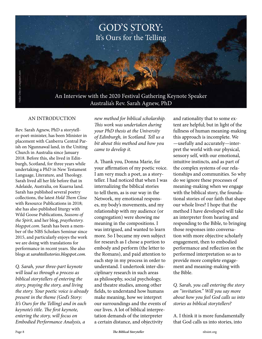

#### AN INTRODUCTION

Rev. Sarah Agnew, PhD a storyteller-poet-minister, has been Minister in placement with Canberra Central Parish on Ngunnawal land, in the Uniting Church in Australia since January 2018. Before this, she lived in Edinburgh, Scotland, for three years while undertaking a PhD in New Testament Language, Literature, and Theology. Sarah lived all her life before that in Adelaide, Australia, on Kuarna land. Sarah has published several poetry collections, the latest *Hold Them Close* with Resource Publications in 2018; she has also published liturgy with Wild Goose Publications, *Seasons of the Spirit*, and her blog, *praythestory. blogspot.com*. Sarah has been a member of the NBS Scholars Seminar since 2015, and particularly enjoys the work we are doing with translations for performance in recent years. She also blogs at *sarahtellsstories.blogspot.com*.

*Q. Sarah, your three-part keynote will lead us through a process as biblical storytellers of entering the story, praying the story, and living the story. Your poetic voice is already present in the theme (God's Story: It's Ours for the Telling) and in each keynote's title. The first keynote, entering the story, will focus on Embodied Performance Analysis, a* 

*new method for biblical scholarship. This work was undertaken during your PhD thesis at the University of Edinburgh, in Scotland. Tell us a bit about this method and how you came to develop it.*

A. Thank you, Donna Marie, for your affirmation of my poetic voice. I am very much a poet, as a storyteller. I had noticed that when I was internalizing the biblical stories to tell them, as is our way in the Network, my emotional responses, my body's movements, and my relationship with my audience (or congregation) were showing me meaning in the compositions. I was intrigued, and wanted to learn more. So I became my own subject for research as I chose a portion to embody and perform (the letter to the Romans), and paid attention to each step in my process in order to understand. I undertook inter-disciplinary research in such areas as philosophy, social psychology, and theatre studies, among other fields, to understand how humans make meaning, how we interpret our surroundings and the events of our lives. A lot of biblical interpretation demands of the interpreter a certain distance, and objectivity

and rationality that to some extent are helpful; but in light of the fullness of human meaning-making this approach is incomplete. We —usefully and accurately—interpret the world with our physical, sensory self, with our emotional, intuitive instincts, and as part of the complex systems of our relationships and communities. So why do we ignore these processes of meaning-making when we engage with the biblical story, the foundational stories of our faith that shape our whole lives? I hope that the method I have developed will take an interpreter from hearing and responding to the Bible, to bringing those responses into conversation with more objective scholarly engagement, then to embodied performance and reflection on the performed interpretation so as to provide more complete engagement and meaning-making with the Bible.

*Q. Sarah, you call entering the story an "invitation." Will you say more about how you feel God calls us into stories as biblical storytellers?*

A. I think it is more fundamentally that God calls us into stories, into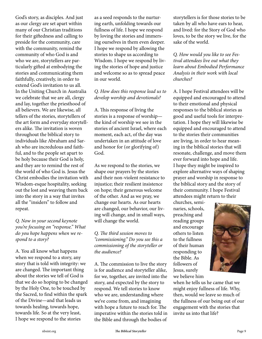God's story, as disciples. And just as our clergy are set apart within many of our Christian traditions for their giftedness and calling to preside for the community, care with the community, remind the community of who God is and who we are, storytellers are particularly gifted at embodying the stories and communicating them faithfully, creatively, in order to extend God's invitation to us all. In the Uniting Church in Australia we celebrate that we are all, clergy and lay, together the priesthood of all believers. We are likewise, all tellers of the stories, storytellers of the art form and everyday storytellers alike. The invitation is woven throughout the biblical story to individuals like Abraham and Sarah who are incredulous and faithful, and to the people set apart to be holy because their God is holy, and they are to remind the rest of the world of who God is. Jesus the Christ embodies the invitation with Wisdom-esque hospitality, seeking out the lost and weaving them back into the story in a way that invites all the "insiders" to follow and repeat.

*Q. Now in your second keynote you're focusing on "response." What do you hope happens when we respond to a story?*

A. You all know what happens when we respond to a story, any story that is told with integrity: we are changed. The important thing about the stories we tell of God is that we do so hoping to be changed by the Holy One, to be touched by the Sacred, to find within the spark of the Divine—and that leads us towards healing, towards hope, towards life. So at the very least, I hope we respond to the stories

as a seed responds to the nurturing earth, unfolding towards our fullness of life. I hope we respond by loving the stories and immersing ourselves in them even deeper. I hope we respond by allowing the stories to shape us according to Wisdom. I hope we respond by living the stories of hope and justice and welcome so as to spread peace in our world.

#### *Q. How does this response lead us to develop worship and devotionals?*

A. This response of living the stories is a response of worship the kind of worship we see in the stories of ancient Israel, where each moment, each act, of the day was undertaken in an attitude of love and honor for (or glorifying of) God.

As we respond to the stories, we shape our prayers by the stories and their non-violent resistance to injustice; their resilient insistence on hope; their generous welcome of the other. And as we pray, we change our hearts. As our hearts are changed, our behavior, our living will change, and in small ways, will change the world.

#### *Q. The third session moves to "commissioning." Do you see this a commissioning of the storyteller or the audience?*

A. The commission to live the story is for audience and storyteller alike, for we, together, are invited into the story, and expected by the story to respond. We tell stories to know who we are, understanding where we've come from, and imagining with hope a future to reach for. The imperative within the stories told in the Bible and through the bodies of

storytellers is for those stories to be taken by all who have ears to hear, and lived: for the Story of God who loves, to be the story we live, for the sake of the world.

*Q. How would you like to see Festival attendees live out what they learn about Embodied Performance Analysis in their work with local churches?*

A. I hope Festival attendees will be equipped and encouraged to attend to their emotional and physical responses to the biblical stories as good and useful tools for interpretation. I hope they will likewise be equipped and encouraged to attend to the stories their communities are living, in order to hear meaning in the biblical stories that will resonate, challenge, and move them ever forward into hope and life. I hope they might be inspired to explore alternative ways of shaping prayer and worship in response to the biblical story and the story of their community. I hope Festival attendees might return to their

churches, seminaries, schools, preaching and reading groups and encourage others to listen to the fullness of their human responding to the Bible. As followers of Jesus, surely we believe him



when he tells us he came that we might enjoy fullness of life. Why, then, would we leave so much of the fullness of our being out of our engagement with the stories that invite us into that life?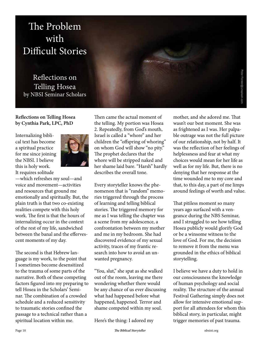# The Problem with Difficult Stories

Reflections on Telling Hosea by NBSI Seminar Scholars

#### **Reflections on Telling Hosea by Cynthia Park, LPC, PhD**

Internalizing biblical text has become a spiritual practice for me since joining the NBSI. I believe this is holy work.



It requires solitude —which refreshes my soul—and voice and movement—activities and resources that ground me emotionally and spiritually. But, the plain truth is that two co-existing realities compete with this holy work. The first is that the hours of internalizing occur in the context of the rest of my life, sandwiched between the banal and the effervescent moments of my day.

The second is that Hebrew language is my work, to the point that I sometimes become desensitized to the trauma of some parts of the narrative. Both of these competing factors figured into my preparing to tell Hosea in the Scholars' Seminar. The combination of a crowded schedule and a reduced sensitivity to traumatic stories confined the passage to a technical rather than a spiritual location within me.

Then came the actual moment of the telling. My portion was Hosea 2. Repeatedly, from God's mouth, Israel is called a "whore" and her children the "offspring of whoring" on whom God will show "no pity." The prophet declares that the whore will be stripped naked and her shame laid bare. "Harsh" hardly describes the overall tone.

Every storyteller knows the phenomenon that is "random" memories triggered through the process of learning and telling biblical stories. The triggered memory for me as I was telling the chapter was a scene from my adolescence, a confrontation between my mother and me in my bedroom. She had discovered evidence of my sexual activity, traces of my frantic research into how to avoid an unwanted pregnancy.

"You, slut," she spat as she walked out of the room, leaving me there wondering whether there would be any chance of us ever discussing what had happened before what happened, happened. Terror and shame competed within my soul.

Here's the thing: I adored my

mother, and she adored me. That wasn't our best moment. She was as frightened as I was. Her palpable outrage was not the full picture of our relationship, not by half. It was the reflection of her feelings of helplessness and fear at what my choices would mean for her life as well as for my life. But, there is no denying that her response at the time wounded me to my core and that, to this day, a part of me limps around feelings of worth and value.

That pitiless moment so many years ago surfaced with a vengeance during the NBS Seminar, and I struggled to see how telling Hosea publicly would glorify God or be a winsome witness to the love of God. For me, the decision to remove it from the menu was grounded in the ethics of biblical storytelling.

I believe we have a duty to hold in our consciousness the knowledge of human psychology and social reality. The structure of the annual Festival Gathering simply does not allow for intensive emotional support for all attendees for whom this biblical story, in particular, might trigger memories of past trauma.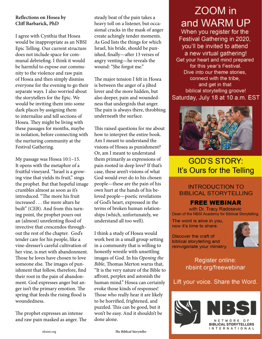#### **Reflections on Hosea by Cliff Barbarick, PhD**

I agree with Cynthia that Hosea would be inappropriate as an NBSI Epic Telling. Our current structure does not include space for communal debriefing. I think it would be harmful to expose our community to the violence and raw pain of Hosea and then simply dismiss everyone for the evening to go their separate ways. I also worried about the storytellers for the Epic. We would be inviting them into some dark places by assigning them to internalize and tell sections of Hosea. They might be living with these passages for months, maybe in isolation, before connecting with the nurturing community at the Festival Gathering.

My passage was Hosea 10:1–15. It opens with the metaphor of a fruitful vineyard. "Israel is a growing vine that yields its fruit," sings the prophet. But that hopeful image crumbles almost as soon as it's introduced. "The more his fruit increased . . . the more altars he built" (CEB). And from this turning point, the prophet pours out an (almost) unrelenting flood of invective that crescendos throughout the rest of the chapter. God's tender care for his people, like a vine-dresser's careful cultivation of her vine, is met with abandonment. Those he loves have chosen to love someone else. The images of punishment that follow, therefore, find their root in the pain of abandonment. God expresses anger but anger isn't the primary emotion. The spring that feeds the rising flood is woundedness.

The prophet expresses an intense and raw pain masked as anger. The

steady beat of the pain takes a heavy toll on a listener, but occasional cracks in the mask of anger create achingly tender moments. As God lists the things for which Israel, his bride, should be punished, finally—after 13 verses of angry venting—he reveals the wound: "She forgot me."

The major tension I felt in Hosea is between the anger of a jilted lover and the more hidden, but also deeper, pain and woundedness that undergirds that anger. The pain is always there, throbbing underneath the surface.

This raised questions for me about how to interpret the entire book. Am I meant to understand the visions of Hosea as punishment? Or, am I meant to understand them primarily as expressions of pain rooted in deep love? If that's case, these aren't visions of what God would ever do to his chosen people—these are the pain of his own hurt at the hands of his beloved people—poetic revelations of God's heart, expressed in the terms of broken human relationships (which, unfortunately, we understand all too well).

I think a study of Hosea would work best in a small group setting in a community that is willing to honestly wrestle with unsettling images of God. In his *Opening the Bible*, Thomas Merton warns that, "It is the very nature of the Bible to affront, perplex and astonish the human mind." Hosea can certainly evoke those kinds of responses! Those who really hear it are likely to be horrified, frightened, and puzzled. This can be good, but it won't be easy. And it shouldn't be done alone.

# ZOOM in and WARM UP

When you register for the Festival Gathering in 2020, you'll be invited to attend a new virtual gathering! Get your heart and mind prepared for this year's Festival. Dive into our theme stories. connect with the tribe. and get in that biblical storytelling groove! Saturday, July 18 at 10 a.m. EST



### **GOD'S STORY:** It's Ours for the Telling

### **INTRODUCTION TO BIBLICAL STORYTELLING**

### **FREE WEBINAR**

with Dr. Tracy Radosevic Dean of the NBSI Academy for Biblical Storytelling

The word is alive in you, now it's time to share.

Discover the craft of biblical storytelling and reinvigoriate your ministry.



Register online: nbsint.org/freewebinar

Lift your voice. Share the Word.